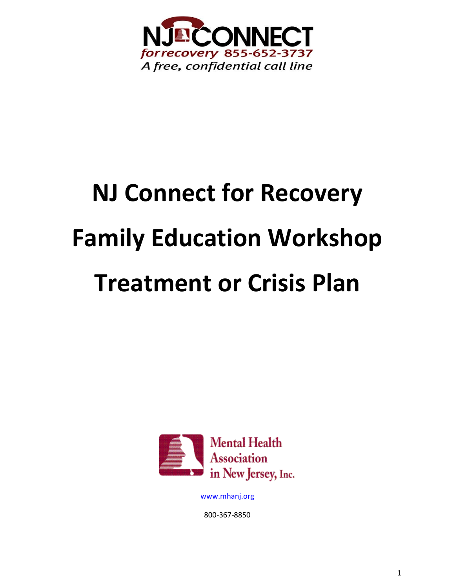

# **NJ Connect for Recovery Family Education Workshop Treatment or Crisis Plan**



[www.mhanj.org](http://www.mhanj.org/)

800-367-8850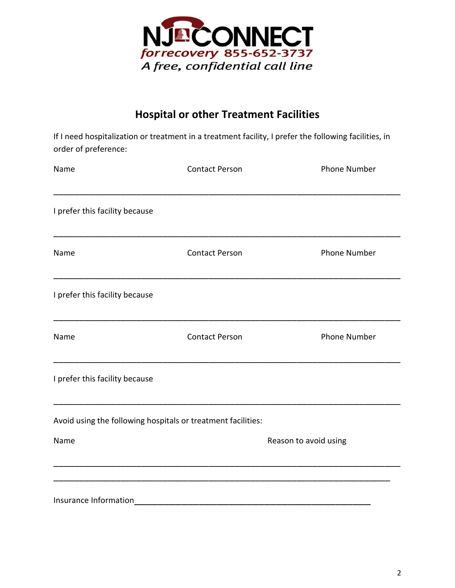

# **Hospital or other Treatment Facilities**

If I need hospitalization or treatment in a treatment facility, I prefer the following facilities, in order of preference:

| Name                                                                                                                                                                                                                                                                   | <b>Contact Person</b>                                        | <b>Phone Number</b>   |
|------------------------------------------------------------------------------------------------------------------------------------------------------------------------------------------------------------------------------------------------------------------------|--------------------------------------------------------------|-----------------------|
| I prefer this facility because                                                                                                                                                                                                                                         |                                                              |                       |
| Name                                                                                                                                                                                                                                                                   | <b>Contact Person</b>                                        | Phone Number          |
| I prefer this facility because                                                                                                                                                                                                                                         |                                                              |                       |
| Name                                                                                                                                                                                                                                                                   | <b>Contact Person</b>                                        | <b>Phone Number</b>   |
| <u> 1989 - Johann John Harry John Harry John Harry John Harry John Harry John Harry John Harry John Harry John Harry John Harry John Harry John Harry John Harry John Harry John Harry John Harry John Harry John Harry John Har</u><br>I prefer this facility because |                                                              |                       |
|                                                                                                                                                                                                                                                                        | Avoid using the following hospitals or treatment facilities: |                       |
| Name                                                                                                                                                                                                                                                                   |                                                              | Reason to avoid using |
|                                                                                                                                                                                                                                                                        |                                                              |                       |
| Insurance Information                                                                                                                                                                                                                                                  |                                                              |                       |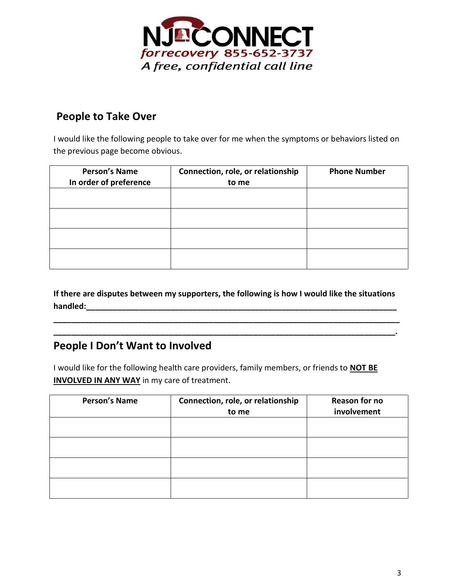

### **People to Take Over**

I would like the following people to take over for me when the symptoms or behaviors listed on the previous page become obvious.

| <b>Person's Name</b><br>In order of preference | Connection, role, or relationship<br>to me | <b>Phone Number</b> |
|------------------------------------------------|--------------------------------------------|---------------------|
|                                                |                                            |                     |
|                                                |                                            |                     |
|                                                |                                            |                     |
|                                                |                                            |                     |

**If there are disputes between my supporters, the following is how I would like the situations handled: with an alleged:** *handled:* 

**\_\_\_\_\_\_\_\_\_\_\_\_\_\_\_\_\_\_\_\_\_\_\_\_\_\_\_\_\_\_\_\_\_\_\_\_\_\_\_\_\_\_\_\_\_\_\_\_\_\_\_\_\_\_\_\_\_\_\_\_\_\_\_\_\_\_\_\_\_\_\_\_\_\_\_\_\_\_ \_\_\_\_\_\_\_\_\_\_\_\_\_\_\_\_\_\_\_\_\_\_\_\_\_\_\_\_\_\_\_\_\_\_\_\_\_\_\_\_\_\_\_\_\_\_\_\_\_\_\_\_\_\_\_\_\_\_\_\_\_\_\_\_\_\_\_\_\_\_\_\_\_\_\_\_\_.**

## **People I Don't Want to Involved**

I would like for the following health care providers, family members, or friends to **NOT BE INVOLVED IN ANY WAY** in my care of treatment.

| <b>Person's Name</b> | Connection, role, or relationship<br>to me | Reason for no<br>involvement |
|----------------------|--------------------------------------------|------------------------------|
|                      |                                            |                              |
|                      |                                            |                              |
|                      |                                            |                              |
|                      |                                            |                              |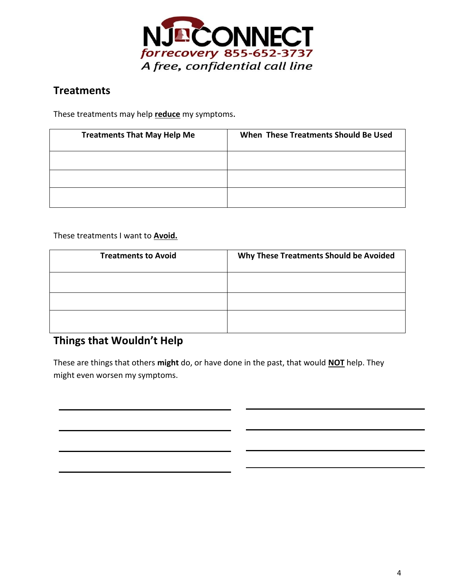

## **Treatments**

These treatments may help **reduce** my symptoms.

| <b>Treatments That May Help Me</b> | When These Treatments Should Be Used |
|------------------------------------|--------------------------------------|
|                                    |                                      |
|                                    |                                      |
|                                    |                                      |

These treatments I want to **Avoid.**

| <b>Treatments to Avoid</b> | Why These Treatments Should be Avoided |
|----------------------------|----------------------------------------|
|                            |                                        |
|                            |                                        |
|                            |                                        |

# **Things that Wouldn't Help**

**Medications**

These are things that others **might** do, or have done in the past, that would **NOT** help. They might even worsen my symptoms.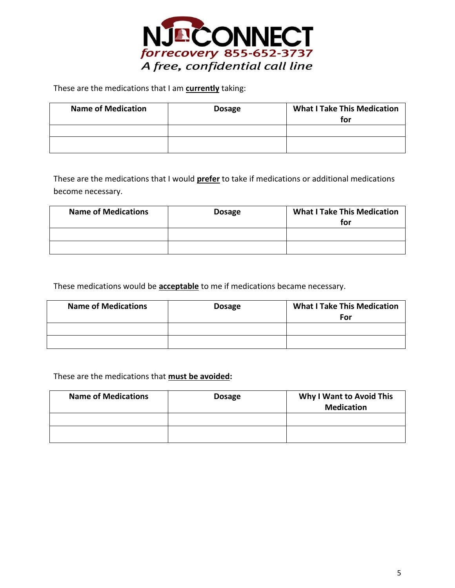

These are the medications that I am **currently** taking:

| <b>Name of Medication</b> | <b>Dosage</b> | <b>What I Take This Medication</b><br>for |
|---------------------------|---------------|-------------------------------------------|
|                           |               |                                           |
|                           |               |                                           |

These are the medications that I would **prefer** to take if medications or additional medications become necessary.

| <b>Name of Medications</b> | <b>Dosage</b> | <b>What I Take This Medication</b><br>for |
|----------------------------|---------------|-------------------------------------------|
|                            |               |                                           |
|                            |               |                                           |

These medications would be **acceptable** to me if medications became necessary.

| <b>Name of Medications</b> | <b>Dosage</b> | <b>What I Take This Medication</b><br>For |
|----------------------------|---------------|-------------------------------------------|
|                            |               |                                           |
|                            |               |                                           |

#### These are the medications that **must be avoided:**

| <b>Name of Medications</b> | <b>Dosage</b> | <b>Why I Want to Avoid This</b><br><b>Medication</b> |
|----------------------------|---------------|------------------------------------------------------|
|                            |               |                                                      |
|                            |               |                                                      |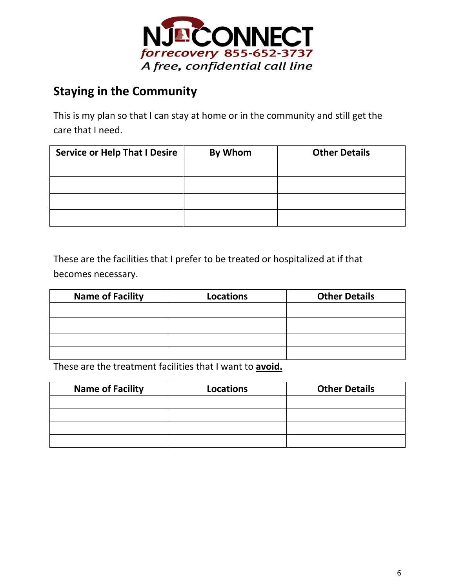

# **Staying in the Community**

This is my plan so that I can stay at home or in the community and still get the care that I need.

| <b>Service or Help That I Desire</b> | By Whom | <b>Other Details</b> |
|--------------------------------------|---------|----------------------|
|                                      |         |                      |
|                                      |         |                      |
|                                      |         |                      |
|                                      |         |                      |

These are the facilities that I prefer to be treated or hospitalized at if that becomes necessary.

| <b>Name of Facility</b> | <b>Locations</b> | <b>Other Details</b> |
|-------------------------|------------------|----------------------|
|                         |                  |                      |
|                         |                  |                      |
|                         |                  |                      |
|                         |                  |                      |

These are the treatment facilities that I want to **avoid.**

| <b>Name of Facility</b> | <b>Locations</b> | <b>Other Details</b> |
|-------------------------|------------------|----------------------|
|                         |                  |                      |
|                         |                  |                      |
|                         |                  |                      |
|                         |                  |                      |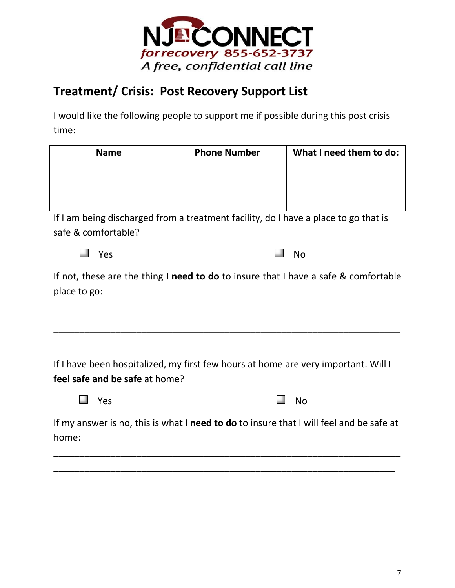

# **Treatment/ Crisis: Post Recovery Support List**

I would like the following people to support me if possible during this post crisis time:

| <b>Name</b>                                                                                   | <b>Phone Number</b>                                                                | What I need them to do: |  |  |
|-----------------------------------------------------------------------------------------------|------------------------------------------------------------------------------------|-------------------------|--|--|
|                                                                                               |                                                                                    |                         |  |  |
|                                                                                               |                                                                                    |                         |  |  |
|                                                                                               |                                                                                    |                         |  |  |
|                                                                                               |                                                                                    |                         |  |  |
| If I am being discharged from a treatment facility, do I have a place to go that is           |                                                                                    |                         |  |  |
| safe & comfortable?                                                                           |                                                                                    |                         |  |  |
| Yes                                                                                           |                                                                                    | <b>No</b>               |  |  |
| If not, these are the thing <b>I need to do</b> to insure that I have a safe $\&$ comfortable |                                                                                    |                         |  |  |
|                                                                                               |                                                                                    |                         |  |  |
| feel safe and be safe at home?                                                                | If I have been hospitalized, my first few hours at home are very important. Will I |                         |  |  |
| Yes                                                                                           |                                                                                    | No                      |  |  |

If my answer is no, this is what I **need to do** to insure that I will feel and be safe at home:

\_\_\_\_\_\_\_\_\_\_\_\_\_\_\_\_\_\_\_\_\_\_\_\_\_\_\_\_\_\_\_\_\_\_\_\_\_\_\_\_\_\_\_\_\_\_\_\_\_\_\_\_\_\_\_\_\_\_\_\_\_\_\_\_\_\_\_

\_\_\_\_\_\_\_\_\_\_\_\_\_\_\_\_\_\_\_\_\_\_\_\_\_\_\_\_\_\_\_\_\_\_\_\_\_\_\_\_\_\_\_\_\_\_\_\_\_\_\_\_\_\_\_\_\_\_\_\_\_\_\_\_\_\_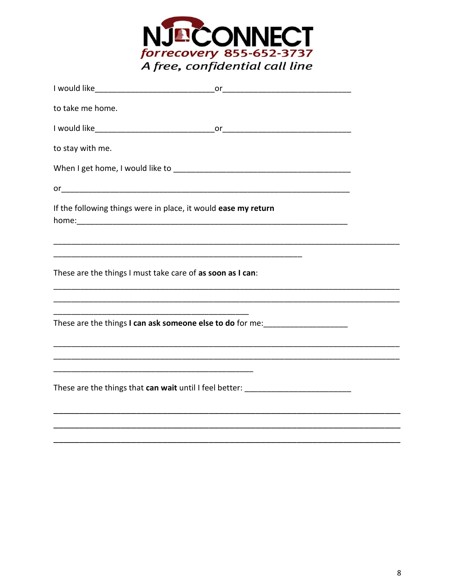

| to take me home.                                                                 |                                                                                                                       |  |
|----------------------------------------------------------------------------------|-----------------------------------------------------------------------------------------------------------------------|--|
|                                                                                  |                                                                                                                       |  |
| to stay with me.                                                                 |                                                                                                                       |  |
|                                                                                  |                                                                                                                       |  |
|                                                                                  |                                                                                                                       |  |
| If the following things were in place, it would ease my return                   |                                                                                                                       |  |
| These are the things I must take care of as soon as I can:                       |                                                                                                                       |  |
|                                                                                  |                                                                                                                       |  |
| These are the things I can ask someone else to do for me:                        |                                                                                                                       |  |
|                                                                                  | <u> 1989 - Johann Stoff, deutscher Stoff, der Stoff, der Stoff, der Stoff, der Stoff, der Stoff, der Stoff, der S</u> |  |
| These are the things that can wait until I feel better: ________________________ |                                                                                                                       |  |
|                                                                                  |                                                                                                                       |  |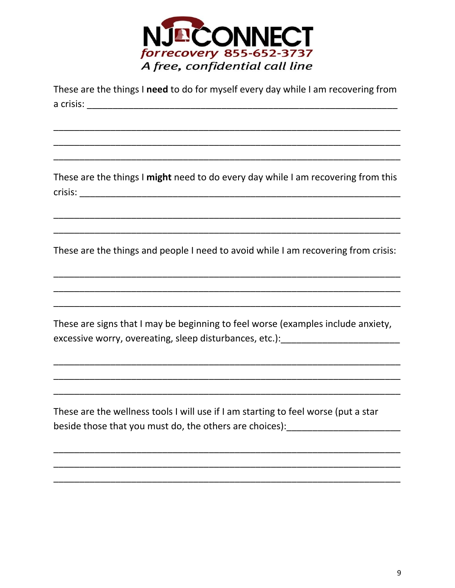

| These are the things I need to do for myself every day while I am recovering from                                                                                    |
|----------------------------------------------------------------------------------------------------------------------------------------------------------------------|
|                                                                                                                                                                      |
|                                                                                                                                                                      |
|                                                                                                                                                                      |
|                                                                                                                                                                      |
|                                                                                                                                                                      |
| These are the things I might need to do every day while I am recovering from this                                                                                    |
|                                                                                                                                                                      |
|                                                                                                                                                                      |
| These are the things and people I need to avoid while I am recovering from crisis:                                                                                   |
|                                                                                                                                                                      |
|                                                                                                                                                                      |
| These are signs that I may be beginning to feel worse (examples include anxiety,<br>excessive worry, overeating, sleep disturbances, etc.): ________________________ |
|                                                                                                                                                                      |
|                                                                                                                                                                      |
|                                                                                                                                                                      |
| These are the wellness tools I will use if I am starting to feel worse (put a star<br>beside those that you must do, the others are choices):                        |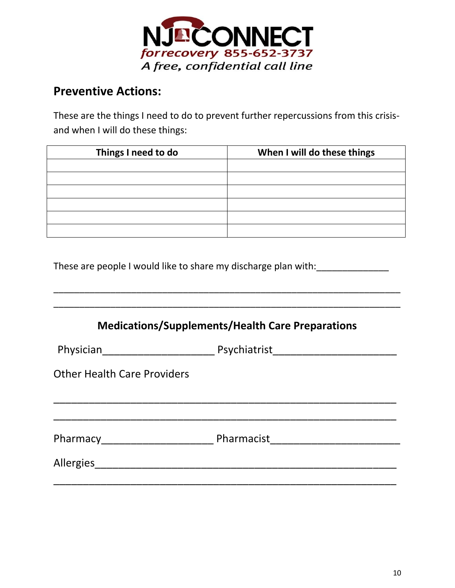

# **Preventive Actions:**

These are the things I need to do to prevent further repercussions from this crisisand when I will do these things:

| Things I need to do | When I will do these things |  |
|---------------------|-----------------------------|--|
|                     |                             |  |
|                     |                             |  |
|                     |                             |  |
|                     |                             |  |
|                     |                             |  |
|                     |                             |  |

\_\_\_\_\_\_\_\_\_\_\_\_\_\_\_\_\_\_\_\_\_\_\_\_\_\_\_\_\_\_\_\_\_\_\_\_\_\_\_\_\_\_\_\_\_\_\_\_\_\_\_\_\_\_\_\_\_\_\_\_\_\_\_\_\_\_\_

These are people I would like to share my discharge plan with: \_\_\_\_\_\_\_\_\_\_\_\_\_\_\_\_\_

| <b>Medications/Supplements/Health Care Preparations</b> |  |  |
|---------------------------------------------------------|--|--|
|                                                         |  |  |
| <b>Other Health Care Providers</b>                      |  |  |
|                                                         |  |  |
|                                                         |  |  |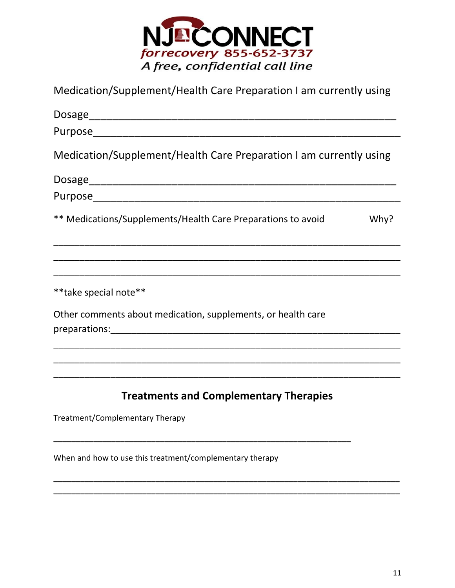

Medication/Supplement/Health Care Preparation I am currently using

| Medication/Supplement/Health Care Preparation I am currently using   |  |  |  |  |  |
|----------------------------------------------------------------------|--|--|--|--|--|
|                                                                      |  |  |  |  |  |
|                                                                      |  |  |  |  |  |
| ** Medications/Supplements/Health Care Preparations to avoid<br>Why? |  |  |  |  |  |
|                                                                      |  |  |  |  |  |
| ** take special note**                                               |  |  |  |  |  |
| Other comments about medication, supplements, or health care         |  |  |  |  |  |
|                                                                      |  |  |  |  |  |
| <b>Treatments and Complementary Therapies</b>                        |  |  |  |  |  |
| Treatment/Complementary Therapy                                      |  |  |  |  |  |

When and how to use this treatment/complementary therapy